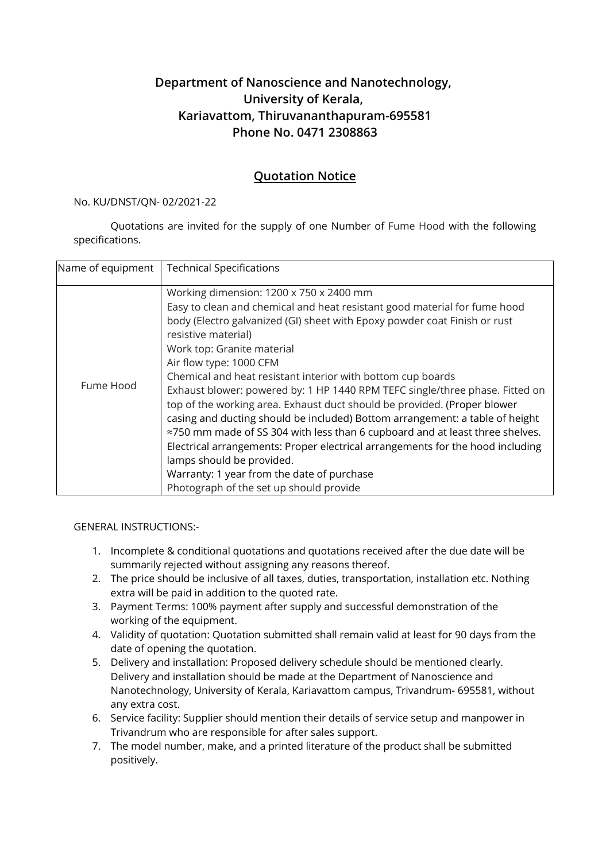## **Department of Nanoscience and Nanotechnology, University of Kerala, Kariavattom, Thiruvananthapuram-695581 Phone No. 0471 2308863**

## **Quotation Notice**

## No. KU/DNST/QN- 02/2021-22

Quotations are invited for the supply of one Number of Fume Hood with the following specifications.

| Name of equipment | <b>Technical Specifications</b>                                                                                                                                                                                                                                                                                                                                                                                                                                                                                                                                                                                                                                                                                                                                                                                                                                                      |
|-------------------|--------------------------------------------------------------------------------------------------------------------------------------------------------------------------------------------------------------------------------------------------------------------------------------------------------------------------------------------------------------------------------------------------------------------------------------------------------------------------------------------------------------------------------------------------------------------------------------------------------------------------------------------------------------------------------------------------------------------------------------------------------------------------------------------------------------------------------------------------------------------------------------|
| Fume Hood         | Working dimension: 1200 x 750 x 2400 mm<br>Easy to clean and chemical and heat resistant good material for fume hood<br>body (Electro galvanized (GI) sheet with Epoxy powder coat Finish or rust<br>resistive material)<br>Work top: Granite material<br>Air flow type: 1000 CFM<br>Chemical and heat resistant interior with bottom cup boards<br>Exhaust blower: powered by: 1 HP 1440 RPM TEFC single/three phase. Fitted on<br>top of the working area. Exhaust duct should be provided. (Proper blower<br>casing and ducting should be included) Bottom arrangement: a table of height<br>≈750 mm made of SS 304 with less than 6 cupboard and at least three shelves.<br>Electrical arrangements: Proper electrical arrangements for the hood including<br>lamps should be provided.<br>Warranty: 1 year from the date of purchase<br>Photograph of the set up should provide |

## GENERAL INSTRUCTIONS:-

- 1. Incomplete & conditional quotations and quotations received after the due date will be summarily rejected without assigning any reasons thereof.
- 2. The price should be inclusive of all taxes, duties, transportation, installation etc. Nothing extra will be paid in addition to the quoted rate.
- 3. Payment Terms: 100% payment after supply and successful demonstration of the working of the equipment.
- 4. Validity of quotation: Quotation submitted shall remain valid at least for 90 days from the date of opening the quotation.
- 5. Delivery and installation: Proposed delivery schedule should be mentioned clearly. Delivery and installation should be made at the Department of Nanoscience and Nanotechnology, University of Kerala, Kariavattom campus, Trivandrum- 695581, without any extra cost.
- 6. Service facility: Supplier should mention their details of service setup and manpower in Trivandrum who are responsible for after sales support.
- 7. The model number, make, and a printed literature of the product shall be submitted positively.